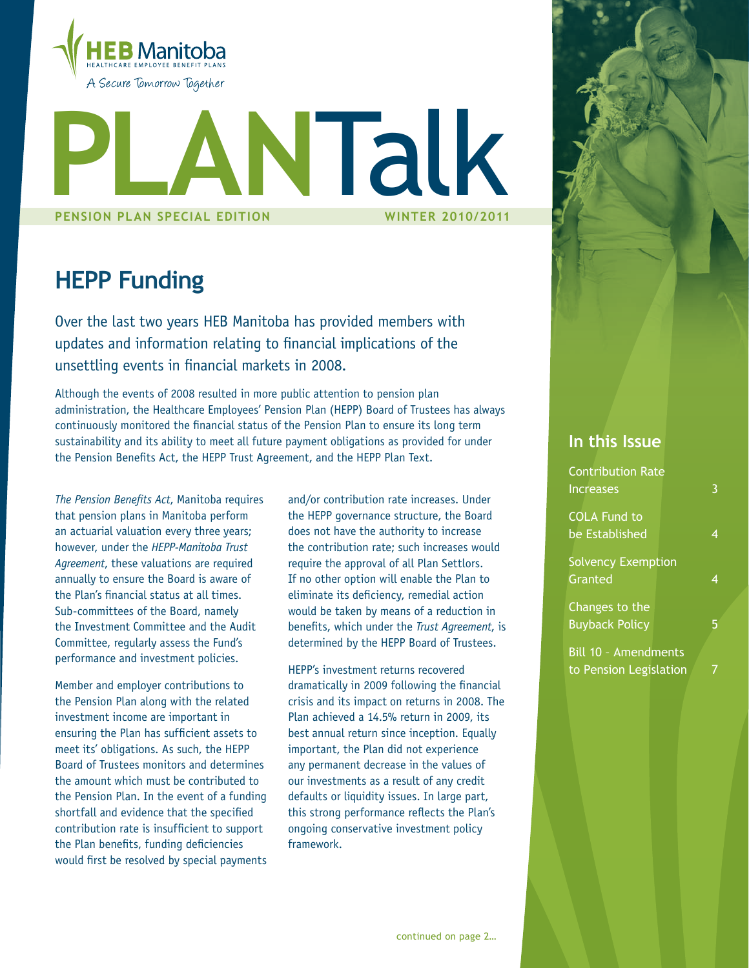

# **Pension plan Special Edition Winter 2010/2011 Plan**Talk

## **HEPP Funding**

Over the last two years HEB Manitoba has provided members with updates and information relating to financial implications of the unsettling events in financial markets in 2008.

Although the events of 2008 resulted in more public attention to pension plan administration, the Healthcare Employees' Pension Plan (HEPP) Board of Trustees has always continuously monitored the financial status of the Pension Plan to ensure its long term sustainability and its ability to meet all future payment obligations as provided for under the Pension Benefits Act, the HEPP Trust Agreement, and the HEPP Plan Text.

*The Pension Benefits Act*, Manitoba requires that pension plans in Manitoba perform an actuarial valuation every three years; however, under the *HEPP-Manitoba Trust Agreement*, these valuations are required annually to ensure the Board is aware of the Plan's financial status at all times. Sub-committees of the Board, namely the Investment Committee and the Audit Committee, regularly assess the Fund's performance and investment policies.

Member and employer contributions to the Pension Plan along with the related investment income are important in ensuring the Plan has sufficient assets to meet its' obligations. As such, the HEPP Board of Trustees monitors and determines the amount which must be contributed to the Pension Plan. In the event of a funding shortfall and evidence that the specified contribution rate is insufficient to support the Plan benefits, funding deficiencies would first be resolved by special payments

and/or contribution rate increases. Under the HEPP governance structure, the Board does not have the authority to increase the contribution rate; such increases would require the approval of all Plan Settlors. If no other option will enable the Plan to eliminate its deficiency, remedial action would be taken by means of a reduction in benefits, which under the *Trust Agreement*, is determined by the HEPP Board of Trustees.

HEPP's investment returns recovered dramatically in 2009 following the financial crisis and its impact on returns in 2008. The Plan achieved a 14.5% return in 2009, its best annual return since inception. Equally important, the Plan did not experience any permanent decrease in the values of our investments as a result of any credit defaults or liquidity issues. In large part, this strong performance reflects the Plan's ongoing conservative investment policy framework.

#### **In this Issue**

Contri Increa

| Contribution Rate           |   |
|-----------------------------|---|
| <b>Increases</b>            | 3 |
| <b>COLA Fund to</b>         |   |
| be Established              | 4 |
| <b>Solvency Exemption</b>   |   |
| Granted                     | 4 |
| Changes to the              |   |
| <b>Buyback Policy</b>       | 5 |
| <b>Bill 10 - Amendments</b> |   |
| to Pension Legislation      |   |
|                             |   |
|                             |   |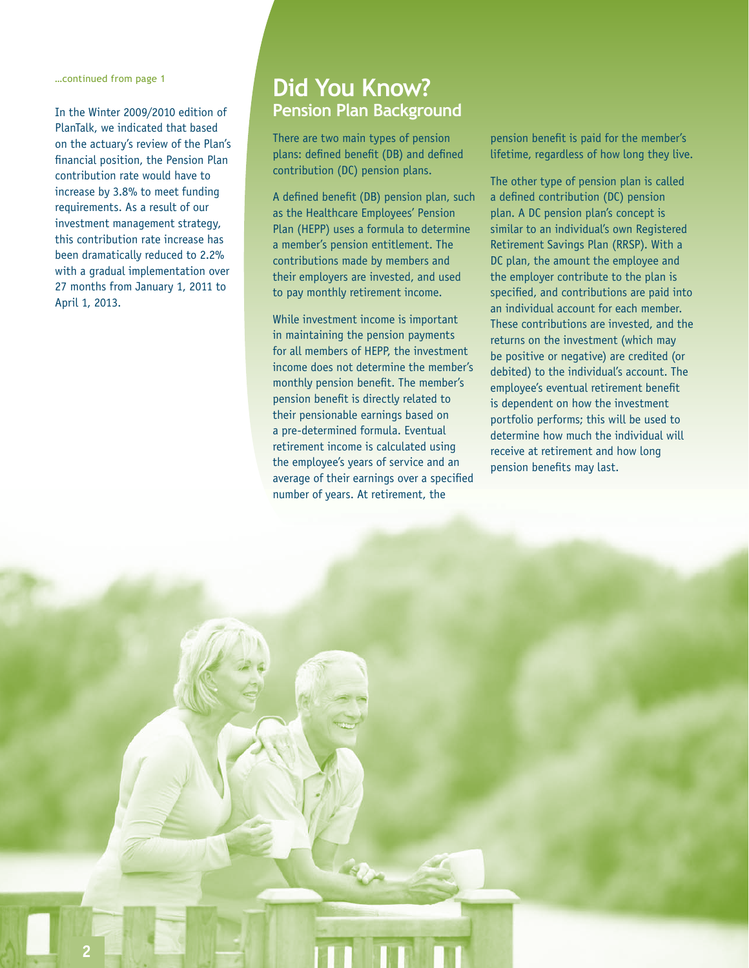…continued from page 1

In the Winter 2009/2010 edition of PlanTalk, we indicated that based on the actuary's review of the Plan's financial position, the Pension Plan contribution rate would have to increase by 3.8% to meet funding requirements. As a result of our investment management strategy, this contribution rate increase has been dramatically reduced to 2.2% with a gradual implementation over 27 months from January 1, 2011 to April 1, 2013.

### **Did You Know? Pension Plan Background**

There are two main types of pension plans: defined benefit (DB) and defined contribution (DC) pension plans.

A defined benefit (DB) pension plan, such as the Healthcare Employees' Pension Plan (HEPP) uses a formula to determine a member's pension entitlement. The contributions made by members and their employers are invested, and used to pay monthly retirement income.

While investment income is important in maintaining the pension payments for all members of HEPP, the investment income does not determine the member's monthly pension benefit. The member's pension benefit is directly related to their pensionable earnings based on a pre-determined formula. Eventual retirement income is calculated using the employee's years of service and an average of their earnings over a specified number of years. At retirement, the

pension benefit is paid for the member's lifetime, regardless of how long they live.

The other type of pension plan is called a defined contribution (DC) pension plan. A DC pension plan's concept is similar to an individual's own Registered Retirement Savings Plan (RRSP). With a DC plan, the amount the employee and the employer contribute to the plan is specified, and contributions are paid into an individual account for each member. These contributions are invested, and the returns on the investment (which may be positive or negative) are credited (or debited) to the individual's account. The employee's eventual retirement benefit is dependent on how the investment portfolio performs; this will be used to determine how much the individual will receive at retirement and how long pension benefits may last.

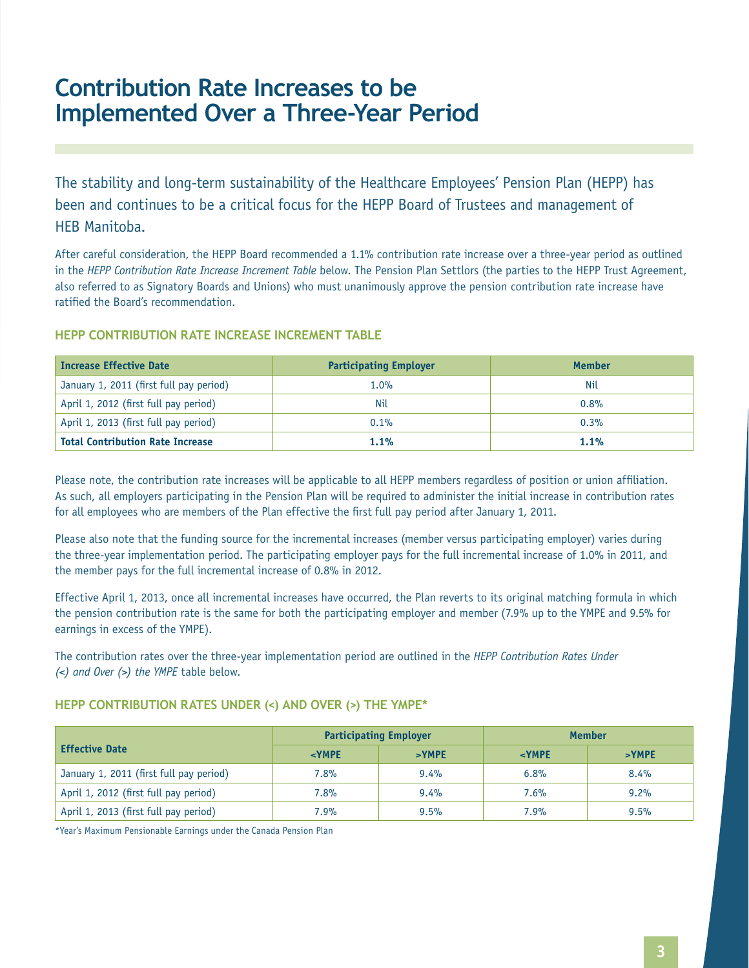## **Contribution Rate Increases to be Implemented Over a Three-Year Period**

The stability and long-term sustainability of the Healthcare Employees' Pension Plan (HEPP) has been and continues to be a critical focus for the HEPP Board of Trustees and management of HEB Manitoba.

After careful consideration, the HEPP Board recommended a 1.1% contribution rate increase over a three-year period as outlined in the *HEPP Contribution Rate Increase Increment Table* below. The Pension Plan Settlors (the parties to the HEPP Trust Agreement, also referred to as Signatory Boards and Unions) who must unanimously approve the pension contribution rate increase have ratified the Board's recommendation.

| <b>Increase Effective Date</b>          | <b>Participating Employer</b> | Member  |
|-----------------------------------------|-------------------------------|---------|
| January 1, 2011 (first full pay period) | 1.0%                          | Nil     |
| April 1, 2012 (first full pay period)   | Nil                           | 0.8%    |
| April 1, 2013 (first full pay period)   | 0.1%                          | 0.3%    |
| <b>Total Contribution Rate Increase</b> | 1.1%                          | $1.1\%$ |

#### **HEPP CONTRIBUTION RATE INCREASE INCREMENT TABLE**

Please note, the contribution rate increases will be applicable to all HEPP members regardless of position or union affiliation. As such, all employers participating in the Pension Plan will be required to administer the initial increase in contribution rates for all employees who are members of the Plan effective the first full pay period after January 1, 2011.

Please also note that the funding source for the incremental increases (member versus participating employer) varies during the three-year implementation period. The participating employer pays for the full incremental increase of 1.0% in 2011, and the member pays for the full incremental increase of 0.8% in 2012.

Effective April 1, 2013, once all incremental increases have occurred, the Plan reverts to its original matching formula in which the pension contribution rate is the same for both the participating employer and member (7.9% up to the YMPE and 9.5% for earnings in excess of the YMPE).

The contribution rates over the three-year implementation period are outlined in the *HEPP Contribution Rates Under (<) and Over (>) the YMPE* table below.

#### **HEPP Contribution Rates Under (<) and Over (>) the YMPE\***

|                                         | <b>Participating Employer</b> |          | <b>Member</b> |          |
|-----------------------------------------|-------------------------------|----------|---------------|----------|
| <b>Effective Date</b>                   | $<$ YMPE                      | $>$ YMPE | $<$ YMPE      | $>$ YMPE |
| January 1, 2011 (first full pay period) | 7.8%                          | $9.4\%$  | 6.8%          | 8.4%     |
| April 1, 2012 (first full pay period)   | $7.8\%$                       | $9.4\%$  | 7.6%          | 9.2%     |
| April 1, 2013 (first full pay period)   | 7.9%                          | 9.5%     | 7.9%          | 9.5%     |

\*Year's Maximum Pensionable Earnings under the Canada Pension Plan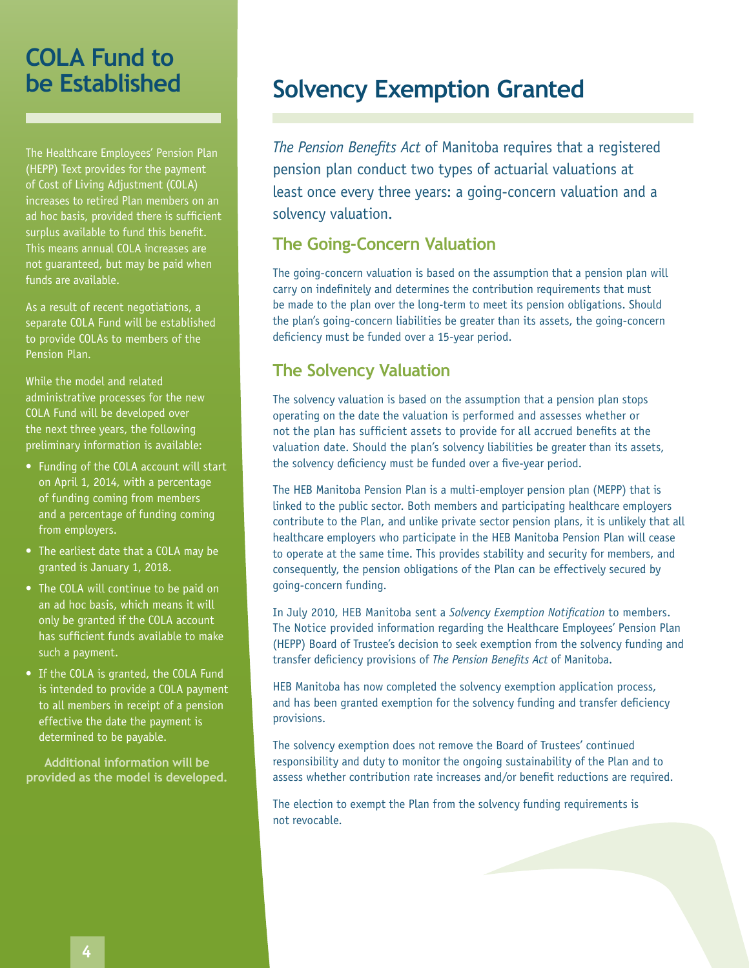## **COLA Fund to be Established**

The Healthcare Employees' Pension Plan (HEPP) Text provides for the payment of Cost of Living Adjustment (COLA) increases to retired Plan members on an ad hoc basis, provided there is sufficient surplus available to fund this benefit. This means annual COLA increases are not guaranteed, but may be paid when funds are available.

As a result of recent negotiations, a separate COLA Fund will be established to provide COLAs to members of the Pension Plan.

While the model and related administrative processes for the new COLA Fund will be developed over the next three years, the following preliminary information is available:

- Funding of the COLA account will start on April 1, 2014, with a percentage of funding coming from members and a percentage of funding coming from employers.
- The earliest date that a COLA may be granted is January 1, 2018.
- The COLA will continue to be paid on an ad hoc basis, which means it will only be granted if the COLA account has sufficient funds available to make such a payment.
- If the COLA is granted, the COLA Fund is intended to provide a COLA payment to all members in receipt of a pension effective the date the payment is determined to be payable.

**Additional information will be provided as the model is developed.**

## **Solvency Exemption Granted**

*The Pension Benefits Act* of Manitoba requires that a registered pension plan conduct two types of actuarial valuations at least once every three years: a going-concern valuation and a solvency valuation.

#### **The Going-Concern Valuation**

The going-concern valuation is based on the assumption that a pension plan will carry on indefinitely and determines the contribution requirements that must be made to the plan over the long-term to meet its pension obligations. Should the plan's going-concern liabilities be greater than its assets, the going-concern deficiency must be funded over a 15-year period.

#### **The Solvency Valuation**

The solvency valuation is based on the assumption that a pension plan stops operating on the date the valuation is performed and assesses whether or not the plan has sufficient assets to provide for all accrued benefits at the valuation date. Should the plan's solvency liabilities be greater than its assets, the solvency deficiency must be funded over a five-year period.

The HEB Manitoba Pension Plan is a multi-employer pension plan (MEPP) that is linked to the public sector. Both members and participating healthcare employers contribute to the Plan, and unlike private sector pension plans, it is unlikely that all healthcare employers who participate in the HEB Manitoba Pension Plan will cease to operate at the same time. This provides stability and security for members, and consequently, the pension obligations of the Plan can be effectively secured by going-concern funding.

In July 2010, HEB Manitoba sent a *Solvency Exemption Notification* to members. The Notice provided information regarding the Healthcare Employees' Pension Plan (HEPP) Board of Trustee's decision to seek exemption from the solvency funding and transfer deficiency provisions of *The Pension Benefits Act* of Manitoba.

HEB Manitoba has now completed the solvency exemption application process, and has been granted exemption for the solvency funding and transfer deficiency provisions.

The solvency exemption does not remove the Board of Trustees' continued responsibility and duty to monitor the ongoing sustainability of the Plan and to assess whether contribution rate increases and/or benefit reductions are required.

The election to exempt the Plan from the solvency funding requirements is not revocable.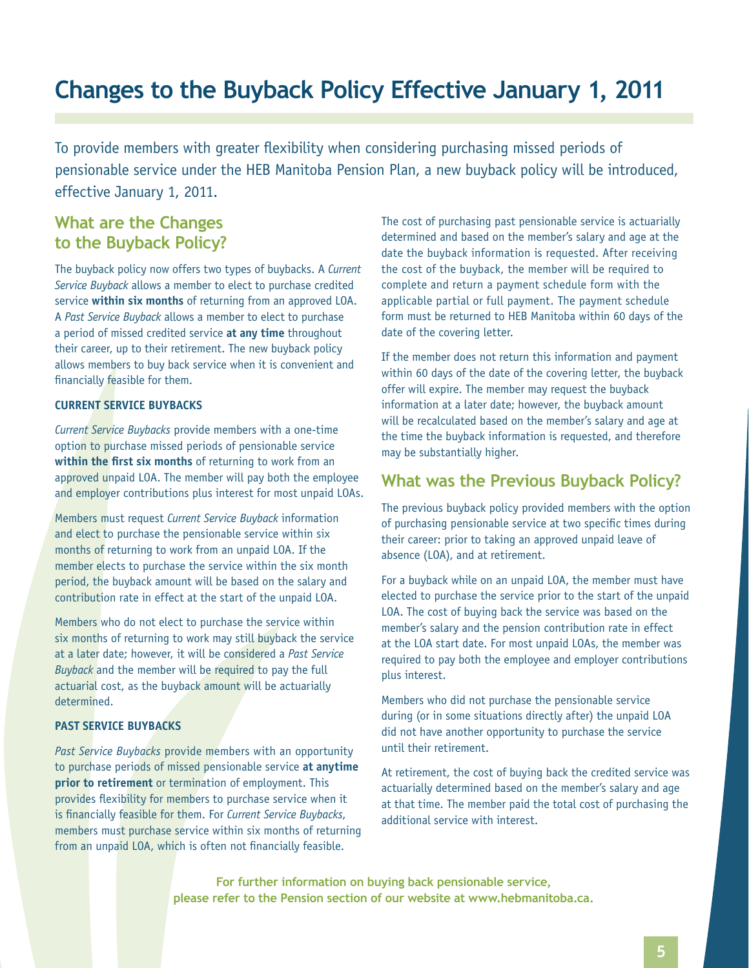## **Changes to the Buyback Policy Effective January 1, 2011**

To provide members with greater flexibility when considering purchasing missed periods of pensionable service under the HEB Manitoba Pension Plan, a new buyback policy will be introduced, effective January 1, 2011.

#### **What are the Changes to the Buyback Policy?**

The buyback policy now offers two types of buybacks. A *Current Service Buyback* allows a member to elect to purchase credited service **within six months** of returning from an approved LOA. A *Past Service Buyback* allows a member to elect to purchase a period of missed credited service **at any time** throughout their career, up to their retirement. The new buyback policy allows members to buy back service when it is convenient and financially feasible for them.

#### **Current Service buybacks**

*Current Service Buybacks* provide members with a one-time option to purchase missed periods of pensionable service **within the first six months** of returning to work from an approved unpaid LOA. The member will pay both the employee and employer contributions plus interest for most unpaid LOAs.

Members must request *Current Service Buyback* information and elect to purchase the pensionable service within six months of returning to work from an unpaid LOA. If the member elects to purchase the service within the six month period, the buyback amount will be based on the salary and contribution rate in effect at the start of the unpaid LOA.

Members who do not elect to purchase the service within six months of returning to work may still buyback the service at a later date; however, it will be considered a *Past Service Buyback* and the member will be required to pay the full actuarial cost, as the buyback amount will be actuarially determined.

#### **Past Service buybacks**

*Past Service Buybacks* provide members with an opportunity to purchase periods of missed pensionable service **at anytime prior to retirement** or termination of employment. This provides flexibility for members to purchase service when it is financially feasible for them. For *Current Service Buybacks*, members must purchase service within six months of returning from an unpaid LOA, which is often not financially feasible.

The cost of purchasing past pensionable service is actuarially determined and based on the member's salary and age at the date the buyback information is requested. After receiving the cost of the buyback, the member will be required to complete and return a payment schedule form with the applicable partial or full payment. The payment schedule form must be returned to HEB Manitoba within 60 days of the date of the covering letter.

If the member does not return this information and payment within 60 days of the date of the covering letter, the buyback offer will expire. The member may request the buyback information at a later date; however, the buyback amount will be recalculated based on the member's salary and age at the time the buyback information is requested, and therefore may be substantially higher.

#### **What was the Previous Buyback Policy?**

The previous buyback policy provided members with the option of purchasing pensionable service at two specific times during their career: prior to taking an approved unpaid leave of absence (LOA), and at retirement.

For a buyback while on an unpaid LOA, the member must have elected to purchase the service prior to the start of the unpaid LOA. The cost of buying back the service was based on the member's salary and the pension contribution rate in effect at the LOA start date. For most unpaid LOAs, the member was required to pay both the employee and employer contributions plus interest.

Members who did not purchase the pensionable service during (or in some situations directly after) the unpaid LOA did not have another opportunity to purchase the service until their retirement.

At retirement, the cost of buying back the credited service was actuarially determined based on the member's salary and age at that time. The member paid the total cost of purchasing the additional service with interest.

**For further information on buying back pensionable service, please refer to the Pension section of our website at www.hebmanitoba.ca.**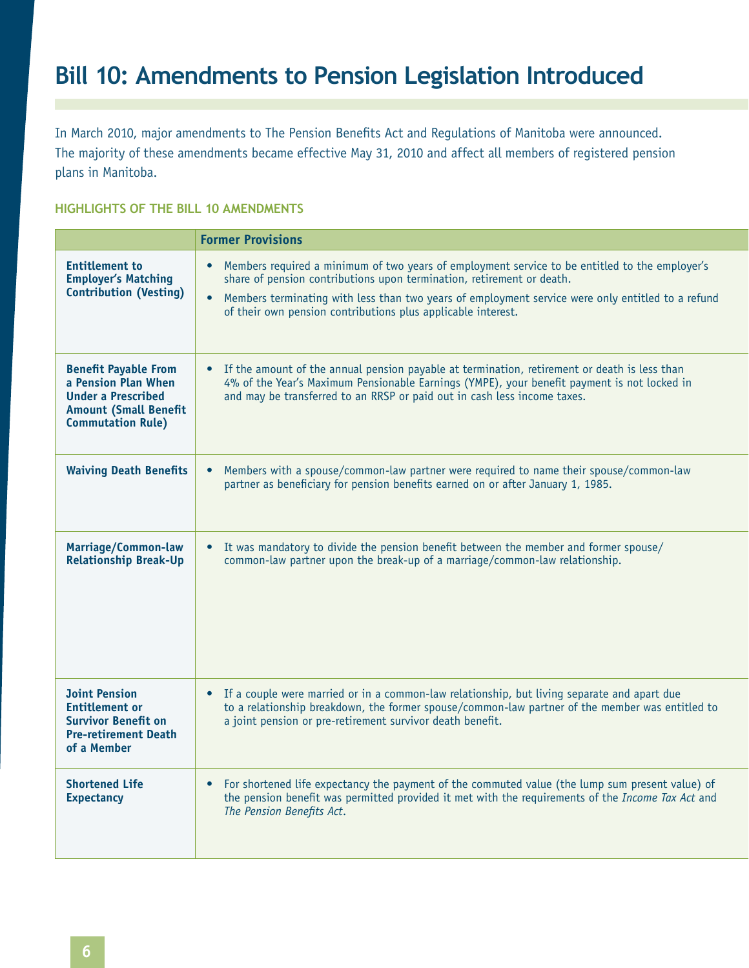## **Bill 10: Amendments to Pension Legislation Introduced**

In March 2010, major amendments to The Pension Benefits Act and Regulations of Manitoba were announced. The majority of these amendments became effective May 31, 2010 and affect all members of registered pension plans in Manitoba.

#### **HIGHLIGHTS OF THE BILL 10 AMENDMENTS**

|                                                                                                                                             | <b>Former Provisions</b>                                                                                                                                                                                                                                                                                                                         |
|---------------------------------------------------------------------------------------------------------------------------------------------|--------------------------------------------------------------------------------------------------------------------------------------------------------------------------------------------------------------------------------------------------------------------------------------------------------------------------------------------------|
| <b>Entitlement to</b><br><b>Employer's Matching</b><br><b>Contribution (Vesting)</b>                                                        | • Members required a minimum of two years of employment service to be entitled to the employer's<br>share of pension contributions upon termination, retirement or death.<br>• Members terminating with less than two years of employment service were only entitled to a refund<br>of their own pension contributions plus applicable interest. |
| <b>Benefit Payable From</b><br>a Pension Plan When<br><b>Under a Prescribed</b><br><b>Amount (Small Benefit</b><br><b>Commutation Rule)</b> | • If the amount of the annual pension payable at termination, retirement or death is less than<br>4% of the Year's Maximum Pensionable Earnings (YMPE), your benefit payment is not locked in<br>and may be transferred to an RRSP or paid out in cash less income taxes.                                                                        |
| <b>Waiving Death Benefits</b>                                                                                                               | • Members with a spouse/common-law partner were required to name their spouse/common-law<br>partner as beneficiary for pension benefits earned on or after January 1, 1985.                                                                                                                                                                      |
| Marriage/Common-law<br><b>Relationship Break-Up</b>                                                                                         | • It was mandatory to divide the pension benefit between the member and former spouse/<br>common-law partner upon the break-up of a marriage/common-law relationship.                                                                                                                                                                            |
| <b>Joint Pension</b><br><b>Entitlement or</b><br><b>Survivor Benefit on</b><br><b>Pre-retirement Death</b><br>of a Member                   | • If a couple were married or in a common-law relationship, but living separate and apart due<br>to a relationship breakdown, the former spouse/common-law partner of the member was entitled to<br>a joint pension or pre-retirement survivor death benefit.                                                                                    |
| <b>Shortened Life</b><br><b>Expectancy</b>                                                                                                  | For shortened life expectancy the payment of the commuted value (the lump sum present value) of<br>$\bullet$<br>the pension benefit was permitted provided it met with the requirements of the Income Tax Act and<br>The Pension Benefits Act.                                                                                                   |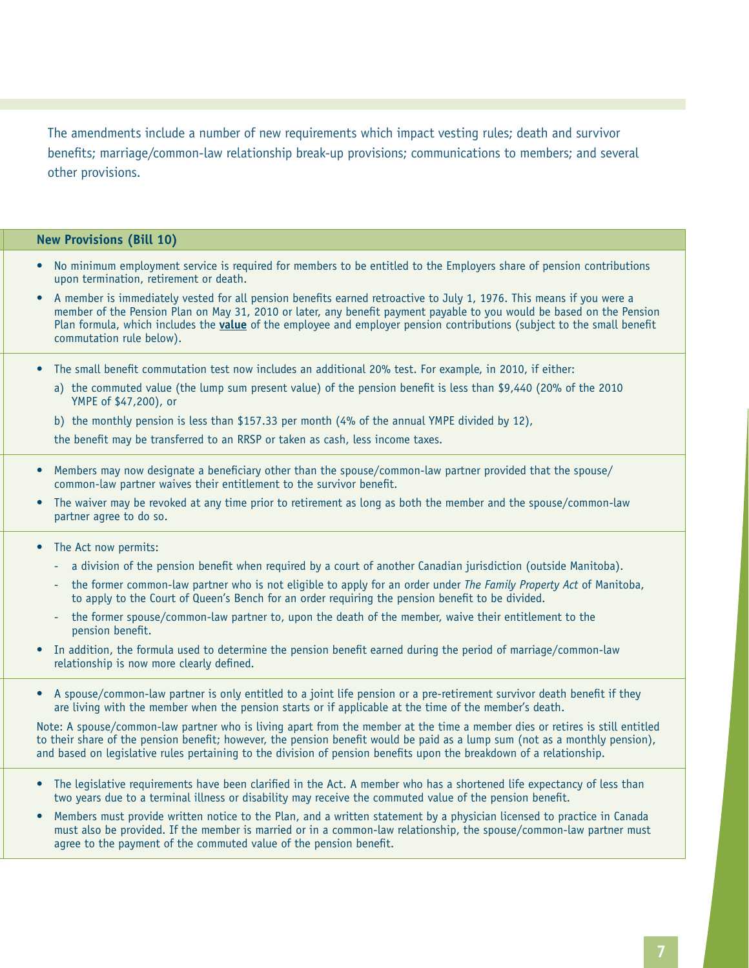The amendments include a number of new requirements which impact vesting rules; death and survivor benefits; marriage/common-law relationship break-up provisions; communications to members; and several other provisions.

#### **New Provisions (Bill 10)**

- • No minimum employment service is required for members to be entitled to the Employers share of pension contributions upon termination, retirement or death.
- A member is immediately vested for all pension benefits earned retroactive to July 1, 1976. This means if you were a member of the Pension Plan on May 31, 2010 or later, any benefit payment payable to you would be based on the Pension Plan formula, which includes the **value** of the employee and employer pension contributions (subject to the small benefit commutation rule below).
- The small benefit commutation test now includes an additional 20% test. For example, in 2010, if either:
	- a) the commuted value (the lump sum present value) of the pension benefit is less than \$9,440 (20% of the 2010 YMPE of \$47,200), or
	- b) the monthly pension is less than \$157.33 per month (4% of the annual YMPE divided by 12),
	- the benefit may be transferred to an RRSP or taken as cash, less income taxes.
- Members may now designate a beneficiary other than the spouse/common-law partner provided that the spouse/ common-law partner waives their entitlement to the survivor benefit.
- The waiver may be revoked at any time prior to retirement as long as both the member and the spouse/common-law partner agree to do so.

• The Act now permits:

- a division of the pension benefit when required by a court of another Canadian jurisdiction (outside Manitoba).
- the former common-law partner who is not eligible to apply for an order under *The Family Property Act* of Manitoba, to apply to the Court of Queen's Bench for an order requiring the pension benefit to be divided.
- the former spouse/common-law partner to, upon the death of the member, waive their entitlement to the pension benefit.
- • In addition, the formula used to determine the pension benefit earned during the period of marriage/common-law relationship is now more clearly defined.
- A spouse/common-law partner is only entitled to a joint life pension or a pre-retirement survivor death benefit if they are living with the member when the pension starts or if applicable at the time of the member's death.

Note: A spouse/common-law partner who is living apart from the member at the time a member dies or retires is still entitled to their share of the pension benefit; however, the pension benefit would be paid as a lump sum (not as a monthly pension), and based on legislative rules pertaining to the division of pension benefits upon the breakdown of a relationship.

- The legislative requirements have been clarified in the Act. A member who has a shortened life expectancy of less than two years due to a terminal illness or disability may receive the commuted value of the pension benefit.
- Members must provide written notice to the Plan, and a written statement by a physician licensed to practice in Canada must also be provided. If the member is married or in a common-law relationship, the spouse/common-law partner must agree to the payment of the commuted value of the pension benefit.